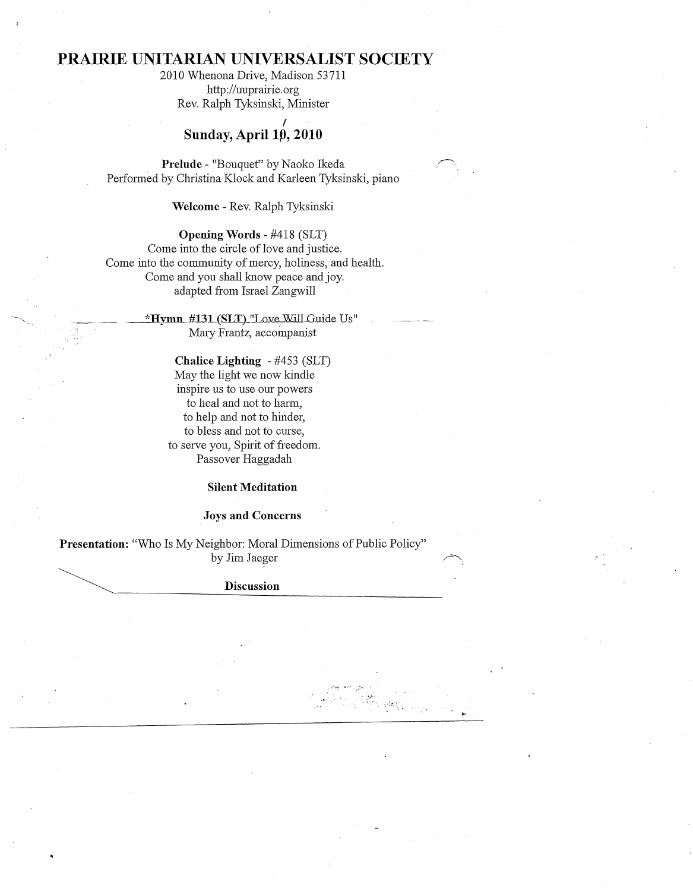# **PRAIRIE UNITARIAN UNIVERSALIST SOCIETY**

2010 Whenona Drive, Madison 53711 http://uuprairie.org Rev. Ralph Tyksinski, Minister

## f **Sunday,** Aprill~, **2010**

Prelude - "Bouquet" by Naoko Ikeda Performed by Christina Klock and Karleen Tyksinski, piano

**Welcome** - Rev. Ralph Tyksinski

**Opening Words** - #418 (SLT) Come into the circle of love. and justice. Come into the community of mercy, holiness, and health. Come and you shall know peace and joy. adapted from Israel Zangwill

> \*Hymn\_#131 (SLT)\_"Love Will Guide Us" Mary Frantz, accompanist

> > **Chalice Lighting** - #453 (SLT) May the light we now kindle inspire us to use our powers to heal and not to harm, to help and not to hinder, to bless and not to curse, to serve you, Spirit of freedom. Passover Haggadah

## **Silent Meditation**

## **Joys and Concerns**

**Presentation:** "Who Is My Neighbor: Moral Dimensions of Public Policy" by Jim Jaeger

~ **Discussion DISCUSSION** 

> $\mathcal{L}_\mathrm{a}$  $\mathcal{T}_{\text{max}}$